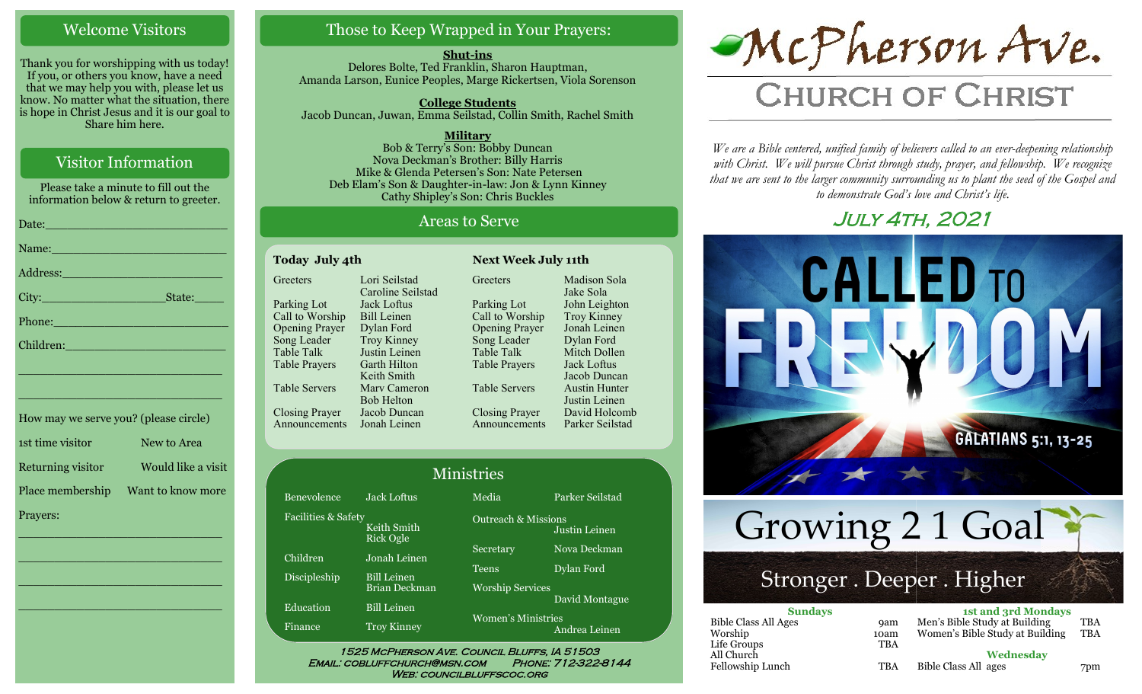#### Welcome Visitors

Thank you for worshipping with us today! If you, or others you know, have a need that we may help you with, please let us know. No matter what the situation, there is hope in Christ Jesus and it is our goal to Share him here.

#### Visitor Information

Please take a minute to fill out the information below & return to greeter.

| Name: Name and the second contract of the second contract of the second contract of the second contract of the                                                                                                                 |
|--------------------------------------------------------------------------------------------------------------------------------------------------------------------------------------------------------------------------------|
|                                                                                                                                                                                                                                |
|                                                                                                                                                                                                                                |
| Phone: New York Changes and The Changes of the Changes of the Changes of the Changes of the Changes of the Changes of the Changes of the Changes of the Changes of the Changes of the Changes of the Changes of the Changes of |
| Children: New York Children                                                                                                                                                                                                    |
| the contract of the contract of the contract of the contract of the contract of the contract of the contract of                                                                                                                |

| How may we serve you? (please circle) |                    |
|---------------------------------------|--------------------|
| 1st time visitor                      | New to Area        |
| Returning visitor                     | Would like a visit |
| Place membership                      | Want to know more  |
| Prayers:                              |                    |

\_\_\_\_\_\_\_\_\_\_\_\_\_\_\_\_\_\_\_\_\_\_\_\_\_\_\_\_

 $\overline{\phantom{a}}$  , and the set of the set of the set of the set of the set of the set of the set of the set of the set of the set of the set of the set of the set of the set of the set of the set of the set of the set of the s

 $\overline{\phantom{a}}$  , and the set of the set of the set of the set of the set of the set of the set of the set of the set of the set of the set of the set of the set of the set of the set of the set of the set of the set of the s

\_\_\_\_\_\_\_\_\_\_\_\_\_\_\_\_\_\_\_\_\_\_\_\_\_\_\_\_

\_\_\_\_\_\_\_\_\_\_\_\_\_\_\_\_\_\_\_\_\_\_\_\_\_\_\_\_

#### Those to Keep Wrapped in Your Prayers:

**Shut-ins** Delores Bolte, Ted Franklin, Sharon Hauptman, Amanda Larson, Eunice Peoples, Marge Rickertsen, Viola Sorenson

**College Students**  Jacob Duncan, Juwan, Emma Seilstad, Collin Smith, Rachel Smith

**Military** Bob & Terry's Son: Bobby Duncan Nova Deckman's Brother: Billy Harris Mike & Glenda Petersen's Son: Nate Petersen Deb Elam's Son & Daughter-in-law: Jon & Lynn Kinney Cathy Shipley's Son: Chris Buckles

#### Areas to Serve

| Today July 4th        |                    |  |  |  |
|-----------------------|--------------------|--|--|--|
| Greeters              | Lori Seilstad      |  |  |  |
|                       | Caroline Seilstad  |  |  |  |
| Parking Lot           | <b>Jack Loftus</b> |  |  |  |
| Call to Worship       | <b>Bill Leinen</b> |  |  |  |
| <b>Opening Prayer</b> | Dylan Ford         |  |  |  |
| Song Leader           | <b>Troy Kinney</b> |  |  |  |
| <b>Table Talk</b>     | Justin Leinen      |  |  |  |
| <b>Table Prayers</b>  | Garth Hilton       |  |  |  |
|                       | Keith Smith        |  |  |  |
| Table Servers         | Mary Cameron       |  |  |  |
|                       | <b>Bob Helton</b>  |  |  |  |
| <b>Closing Prayer</b> | Jacob Duncan       |  |  |  |
| Announcements         | Jonah Leinen       |  |  |  |

**Greeters** Parking Lot Call to Worship Opening Prayer Song Leader Table Talk Table Prayers Table Servers Closing Prayer Announcements Madison Sola Jake Sola John Leighton Troy Kinney Jonah Leinen Dylan Ford Mitch Dollen Jack Loftus Jacob Duncan Austin Hunter Justin Leinen David Holcomb Parker Seilstad

**Today July 4th Next Week July 11th**

| <b>Ministries</b>              |                          |                                |                 |  |
|--------------------------------|--------------------------|--------------------------------|-----------------|--|
| Benevolence                    | <b>Jack Loftus</b>       | Media                          | Parker Seilstad |  |
| <b>Facilities &amp; Safety</b> | Keith Smith<br>Rick Ogle | <b>Outreach &amp; Missions</b> | Justin Leinen   |  |
| Children                       | Jonah Leinen             | Secretary                      | Nova Deckman    |  |
| Discipleship                   | <b>Bill Leinen</b>       | <b>Teens</b>                   | Dylan Ford      |  |
|                                | Brian Deckman            | <b>Worship Services</b>        |                 |  |
| Education                      | <b>Bill Leinen</b>       |                                | David Montague  |  |
| Finance                        | <b>Troy Kinney</b>       | <b>Women's Ministries</b>      | Andrea Leinen   |  |

WEB: COUNCILBLUFFSCOC.ORG

# McPherson Ave.

# **CHURCH OF CHRIST**

*We are a Bible centered, unified family of believers called to an ever-deepening relationship*  with Christ. We will pursue Christ through study, prayer, and fellowship. We recognize *that we are sent to the larger community surrounding us to plant the seed of the Gospel and to demonstrate God's love and Christ's life.*

## July 4th, 2021



Growing 2 1 Goal

# Stronger . Deeper . Higher

| <b>Sundays</b>              |            | <b>1st and 3rd Mondays</b>      |            |  |
|-----------------------------|------------|---------------------------------|------------|--|
| <b>Bible Class All Ages</b> | <b>9am</b> | Men's Bible Study at Building   | <b>TBA</b> |  |
| Worship                     | 10am       | Women's Bible Study at Building | <b>TBA</b> |  |
| Life Groups                 | <b>TBA</b> |                                 |            |  |
| All Church                  |            | Wednesday                       |            |  |
| Fellowship Lunch            | <b>TBA</b> | Bible Class All ages            | 7pm        |  |